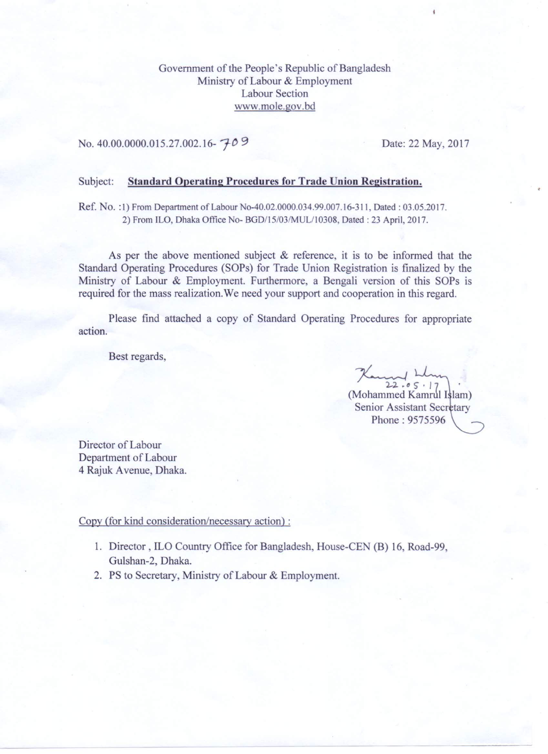Government of the People's Republic of Bangladesh Ministry of Labour & Employment **Labour Section** www.mole.gov.bd

## No. 40.00.0000.015.27.002.16-709

Date: 22 May, 2017

## Subject: **Standard Operating Procedures for Trade Union Registration.**

Ref. No. :1) From Department of Labour No-40.02.0000.034.99.007.16-311, Dated : 03.05.2017. 2) From ILO, Dhaka Office No- BGD/15/03/MUL/10308, Dated : 23 April, 2017.

As per the above mentioned subject  $\&$  reference, it is to be informed that the Standard Operating Procedures (SOPs) for Trade Union Registration is finalized by the Ministry of Labour & Employment. Furthermore, a Bengali version of this SOPs is required for the mass realization. We need your support and cooperation in this regard.

Please find attached a copy of Standard Operating Procedures for appropriate action.

Best regards,

Kamy Ll  $22.05.17$ (Mohammed Kamrul Islam) Senior Assistant Secretary Phone: 9575596

Director of Labour Department of Labour 4 Rajuk Avenue, Dhaka.

Copy (for kind consideration/necessary action):

- 1. Director, ILO Country Office for Bangladesh, House-CEN (B) 16, Road-99, Gulshan-2, Dhaka.
- 2. PS to Secretary, Ministry of Labour & Employment.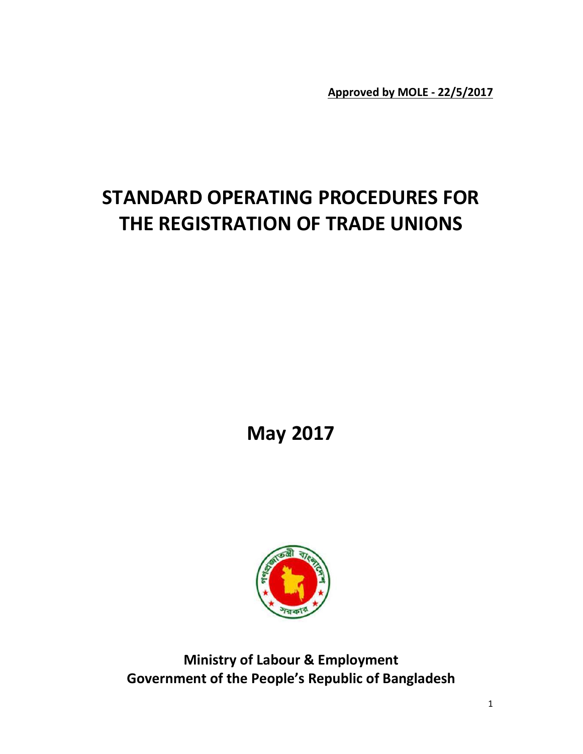Approved by MOLE - 22/5/2017

## STANDARD OPERATING PROCEDURES FOR THE REGISTRATION OF TRADE UNIONS )ARD OPERATING PROCEDURES<br>REGISTRATION OF TRADE UNIOI<br>May 2017



Ministry of Labour & Employment Ministry of Labour & Employment<br>Government of the People's Republic of Bangladesh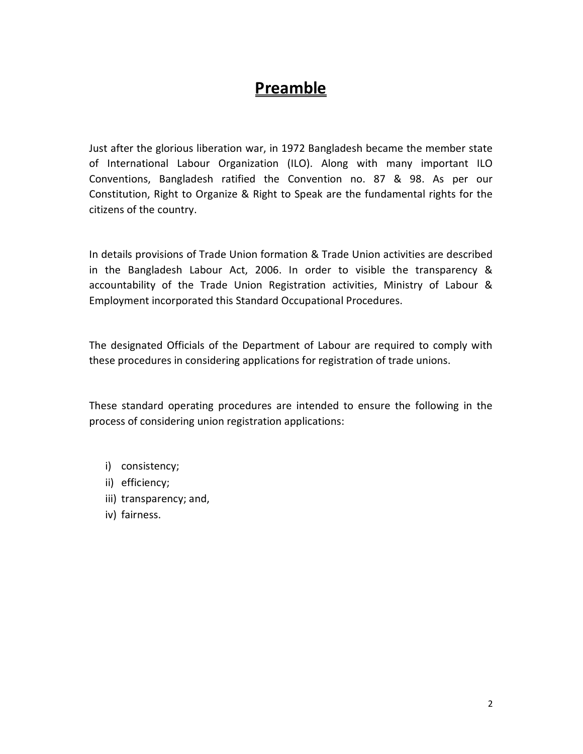## Preamble

Just after the glorious liberation war, in 1972 Bangladesh became the member state of International Labour Organization (ILO). Along with many important ILO Conventions, Bangladesh ratified the Convention no. 87 & 98. As per our Constitution, Right to Organize & Right to Speak are the fundamental rights for the citizens of the country.

In details provisions of Trade Union formation & Trade Union activities are described in the Bangladesh Labour Act, 2006. In order to visible the transparency & accountability of the Trade Union Registration activities, Ministry of Labour & Employment incorporated this Standard Occupational Procedures.

The designated Officials of the Department of Labour are required to comply with these procedures in considering applications for registration of trade unions.

These standard operating procedures are intended to ensure the following in the process of considering union registration applications:

- i) consistency;
- ii) efficiency;
- iii) transparency; and,
- iv) fairness.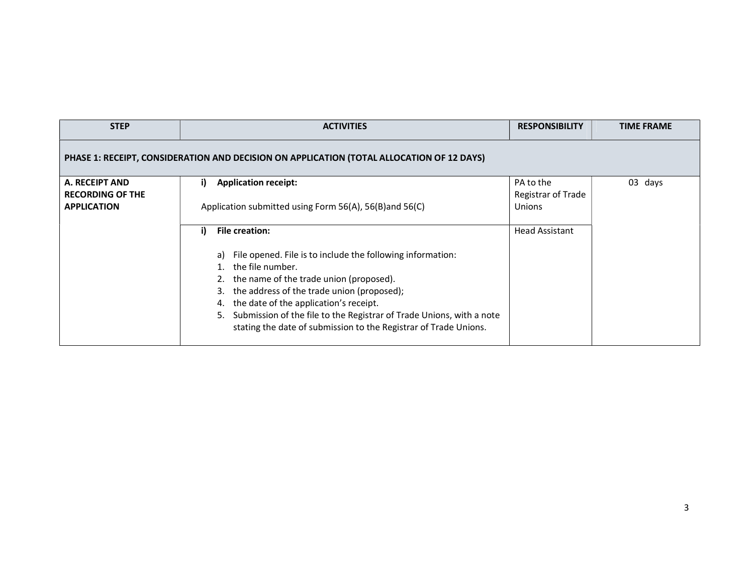| <b>STEP</b>                                                     | <b>ACTIVITIES</b>                                                                                                                                                                                                                                                                                                                                                                                                    | <b>RESPONSIBILITY</b>                            | <b>TIME FRAME</b> |
|-----------------------------------------------------------------|----------------------------------------------------------------------------------------------------------------------------------------------------------------------------------------------------------------------------------------------------------------------------------------------------------------------------------------------------------------------------------------------------------------------|--------------------------------------------------|-------------------|
|                                                                 | PHASE 1: RECEIPT, CONSIDERATION AND DECISION ON APPLICATION (TOTAL ALLOCATION OF 12 DAYS)                                                                                                                                                                                                                                                                                                                            |                                                  |                   |
| A. RECEIPT AND<br><b>RECORDING OF THE</b><br><b>APPLICATION</b> | <b>Application receipt:</b><br>i)<br>Application submitted using Form 56(A), 56(B) and 56(C)                                                                                                                                                                                                                                                                                                                         | PA to the<br>Registrar of Trade<br><b>Unions</b> | 03 days           |
|                                                                 | <b>File creation:</b><br>i)<br>File opened. File is to include the following information:<br>a)<br>1. the file number.<br>2. the name of the trade union (proposed).<br>3. the address of the trade union (proposed);<br>4. the date of the application's receipt.<br>Submission of the file to the Registrar of Trade Unions, with a note<br>5.<br>stating the date of submission to the Registrar of Trade Unions. | <b>Head Assistant</b>                            |                   |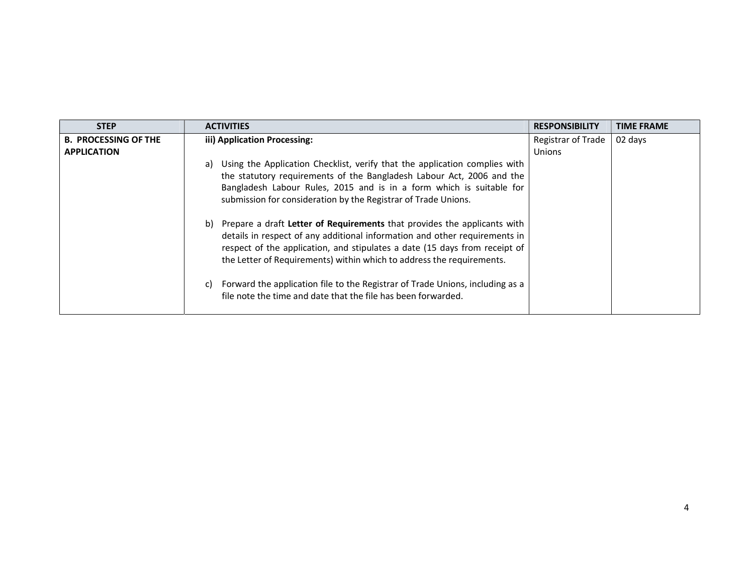| <b>STEP</b>                 | <b>ACTIVITIES</b>                                                                                                                                                                                                                                                                                                                                                                                                                                                                                                                                                                                                                                                                                                                                                               | <b>RESPONSIBILITY</b> | <b>TIME FRAME</b> |
|-----------------------------|---------------------------------------------------------------------------------------------------------------------------------------------------------------------------------------------------------------------------------------------------------------------------------------------------------------------------------------------------------------------------------------------------------------------------------------------------------------------------------------------------------------------------------------------------------------------------------------------------------------------------------------------------------------------------------------------------------------------------------------------------------------------------------|-----------------------|-------------------|
| <b>B. PROCESSING OF THE</b> | iii) Application Processing:                                                                                                                                                                                                                                                                                                                                                                                                                                                                                                                                                                                                                                                                                                                                                    | Registrar of Trade    | 02 days           |
| <b>APPLICATION</b>          |                                                                                                                                                                                                                                                                                                                                                                                                                                                                                                                                                                                                                                                                                                                                                                                 | <b>Unions</b>         |                   |
|                             | Using the Application Checklist, verify that the application complies with<br>a)<br>the statutory requirements of the Bangladesh Labour Act, 2006 and the<br>Bangladesh Labour Rules, 2015 and is in a form which is suitable for<br>submission for consideration by the Registrar of Trade Unions.<br>b) Prepare a draft Letter of Requirements that provides the applicants with<br>details in respect of any additional information and other requirements in<br>respect of the application, and stipulates a date (15 days from receipt of<br>the Letter of Requirements) within which to address the requirements.<br>Forward the application file to the Registrar of Trade Unions, including as a<br>C)<br>file note the time and date that the file has been forwarded. |                       |                   |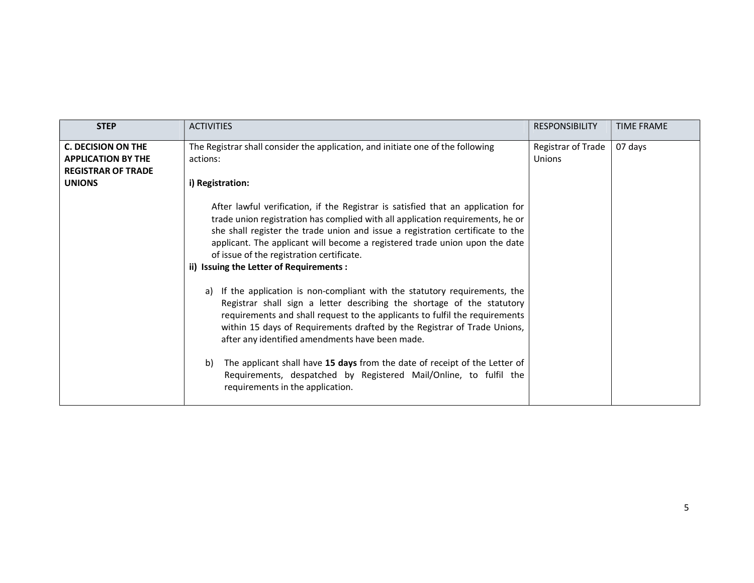| <b>STEP</b>                                                                         | <b>ACTIVITIES</b>                                                                                                                                                                                                                                                                                                                                                                                                            | <b>RESPONSIBILITY</b>               | <b>TIME FRAME</b> |
|-------------------------------------------------------------------------------------|------------------------------------------------------------------------------------------------------------------------------------------------------------------------------------------------------------------------------------------------------------------------------------------------------------------------------------------------------------------------------------------------------------------------------|-------------------------------------|-------------------|
| <b>C. DECISION ON THE</b><br><b>APPLICATION BY THE</b><br><b>REGISTRAR OF TRADE</b> | The Registrar shall consider the application, and initiate one of the following<br>actions:                                                                                                                                                                                                                                                                                                                                  | Registrar of Trade<br><b>Unions</b> | 07 days           |
| <b>UNIONS</b>                                                                       | i) Registration:                                                                                                                                                                                                                                                                                                                                                                                                             |                                     |                   |
|                                                                                     | After lawful verification, if the Registrar is satisfied that an application for<br>trade union registration has complied with all application requirements, he or<br>she shall register the trade union and issue a registration certificate to the<br>applicant. The applicant will become a registered trade union upon the date<br>of issue of the registration certificate.<br>ii) Issuing the Letter of Requirements : |                                     |                   |
|                                                                                     | If the application is non-compliant with the statutory requirements, the<br>a)<br>Registrar shall sign a letter describing the shortage of the statutory<br>requirements and shall request to the applicants to fulfil the requirements<br>within 15 days of Requirements drafted by the Registrar of Trade Unions,<br>after any identified amendments have been made.                                                       |                                     |                   |
|                                                                                     | The applicant shall have 15 days from the date of receipt of the Letter of<br>b)<br>Requirements, despatched by Registered Mail/Online, to fulfil the<br>requirements in the application.                                                                                                                                                                                                                                    |                                     |                   |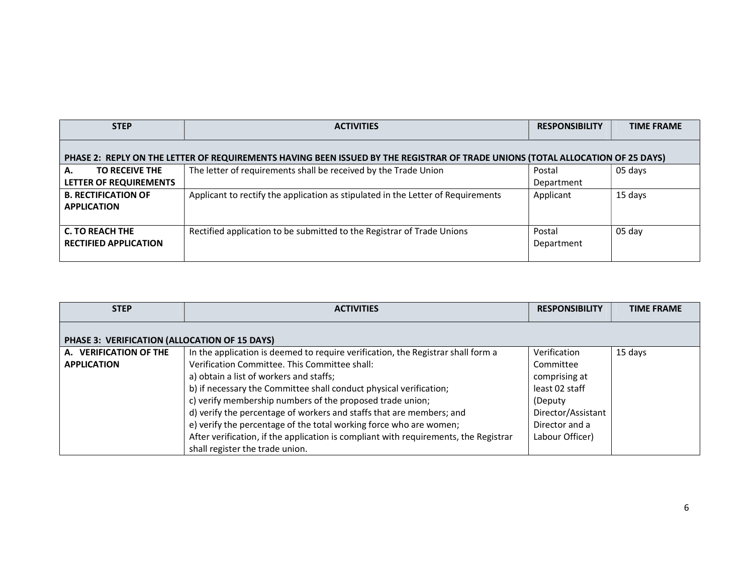| <b>STEP</b>                                                                                                                    | <b>ACTIVITIES</b>                                                                | <b>RESPONSIBILITY</b> | <b>TIME FRAME</b> |
|--------------------------------------------------------------------------------------------------------------------------------|----------------------------------------------------------------------------------|-----------------------|-------------------|
| PHASE 2: REPLY ON THE LETTER OF REQUIREMENTS HAVING BEEN ISSUED BY THE REGISTRAR OF TRADE UNIONS (TOTAL ALLOCATION OF 25 DAYS) |                                                                                  |                       |                   |
| <b>TO RECEIVE THE</b><br>А.<br>LETTER OF REQUIREMENTS                                                                          | The letter of requirements shall be received by the Trade Union                  | Postal<br>Department  | 05 days           |
| <b>B. RECTIFICATION OF</b><br><b>APPLICATION</b>                                                                               | Applicant to rectify the application as stipulated in the Letter of Requirements | Applicant             | 15 days           |
| <b>C. TO REACH THE</b><br><b>RECTIFIED APPLICATION</b>                                                                         | Rectified application to be submitted to the Registrar of Trade Unions           | Postal<br>Department  | 05 day            |

| <b>STEP</b>                                   | <b>ACTIVITIES</b>                                                                    | <b>RESPONSIBILITY</b> | <b>TIME FRAME</b> |
|-----------------------------------------------|--------------------------------------------------------------------------------------|-----------------------|-------------------|
| PHASE 3: VERIFICATION (ALLOCATION OF 15 DAYS) |                                                                                      |                       |                   |
| A. VERIFICATION OF THE                        | In the application is deemed to require verification, the Registrar shall form a     | Verification          | 15 days           |
| <b>APPLICATION</b>                            | Verification Committee. This Committee shall:                                        | Committee             |                   |
|                                               | a) obtain a list of workers and staffs;                                              | comprising at         |                   |
|                                               | b) if necessary the Committee shall conduct physical verification;                   | least 02 staff        |                   |
|                                               | c) verify membership numbers of the proposed trade union;                            | (Deputy)              |                   |
|                                               | d) verify the percentage of workers and staffs that are members; and                 | Director/Assistant    |                   |
|                                               | e) verify the percentage of the total working force who are women;                   | Director and a        |                   |
|                                               | After verification, if the application is compliant with requirements, the Registrar | Labour Officer)       |                   |
|                                               | shall register the trade union.                                                      |                       |                   |